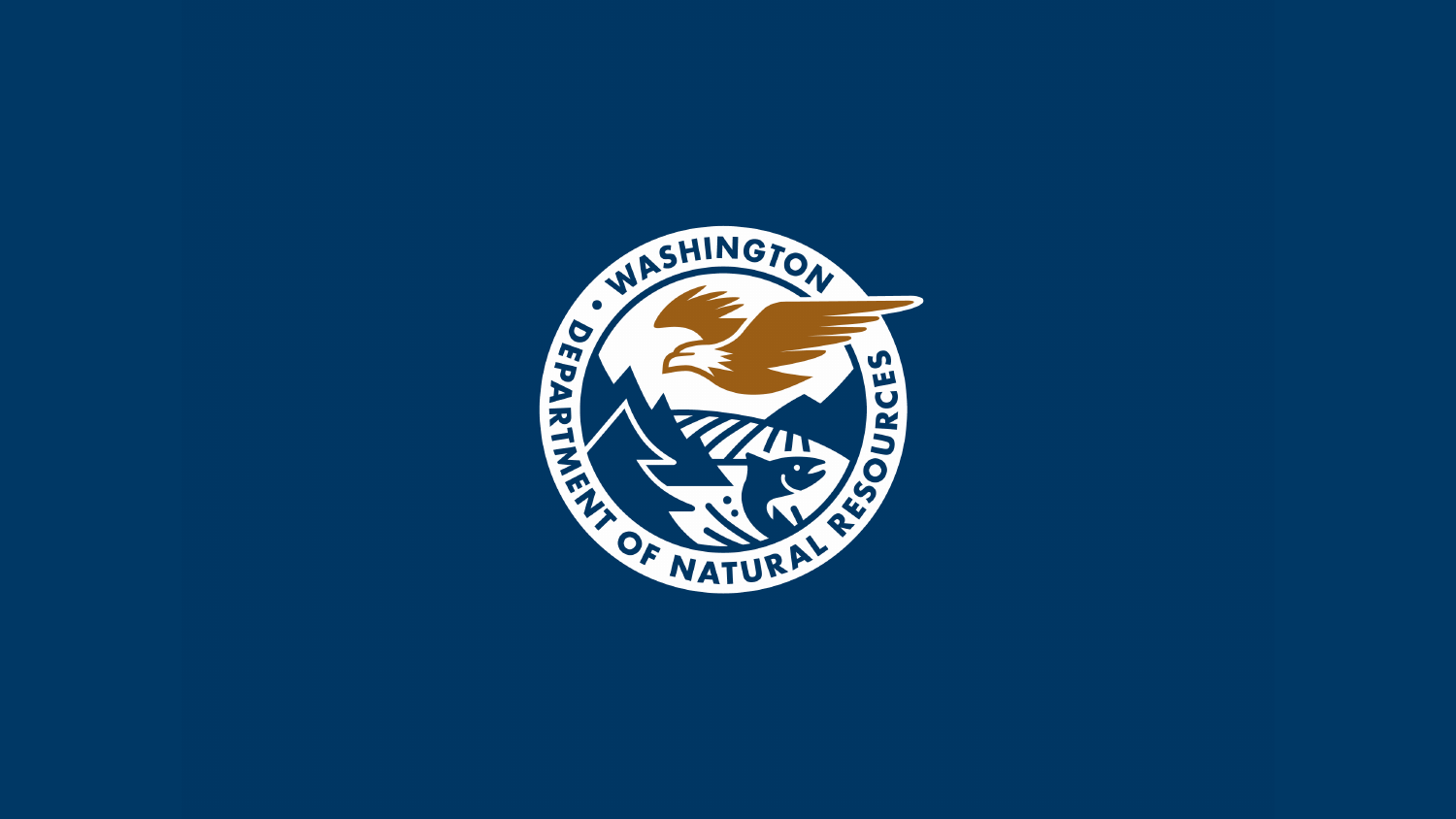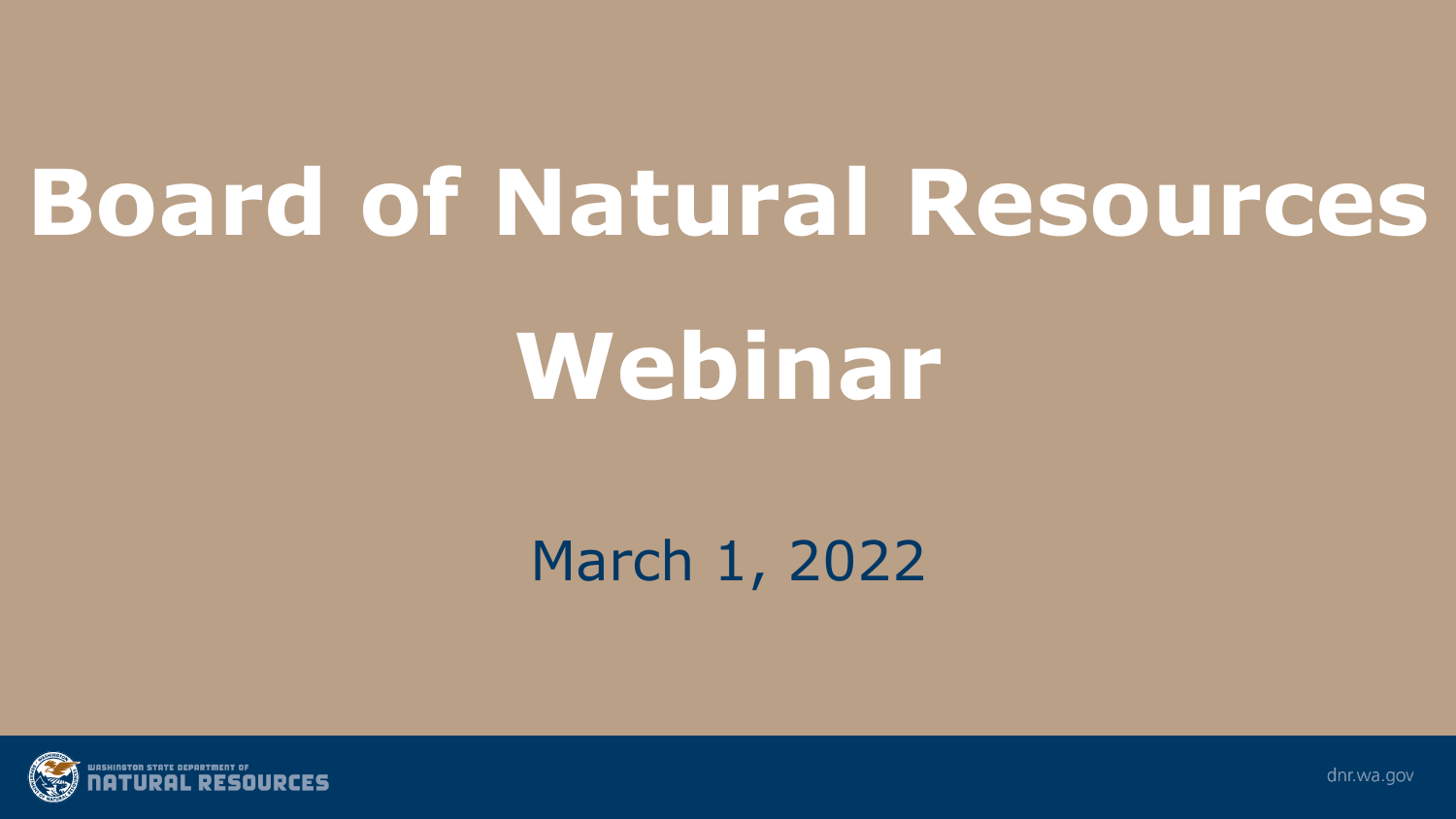# **Board of Natural Resources**

# **Webinar**

### March 1, 2022



dnr.wa.gov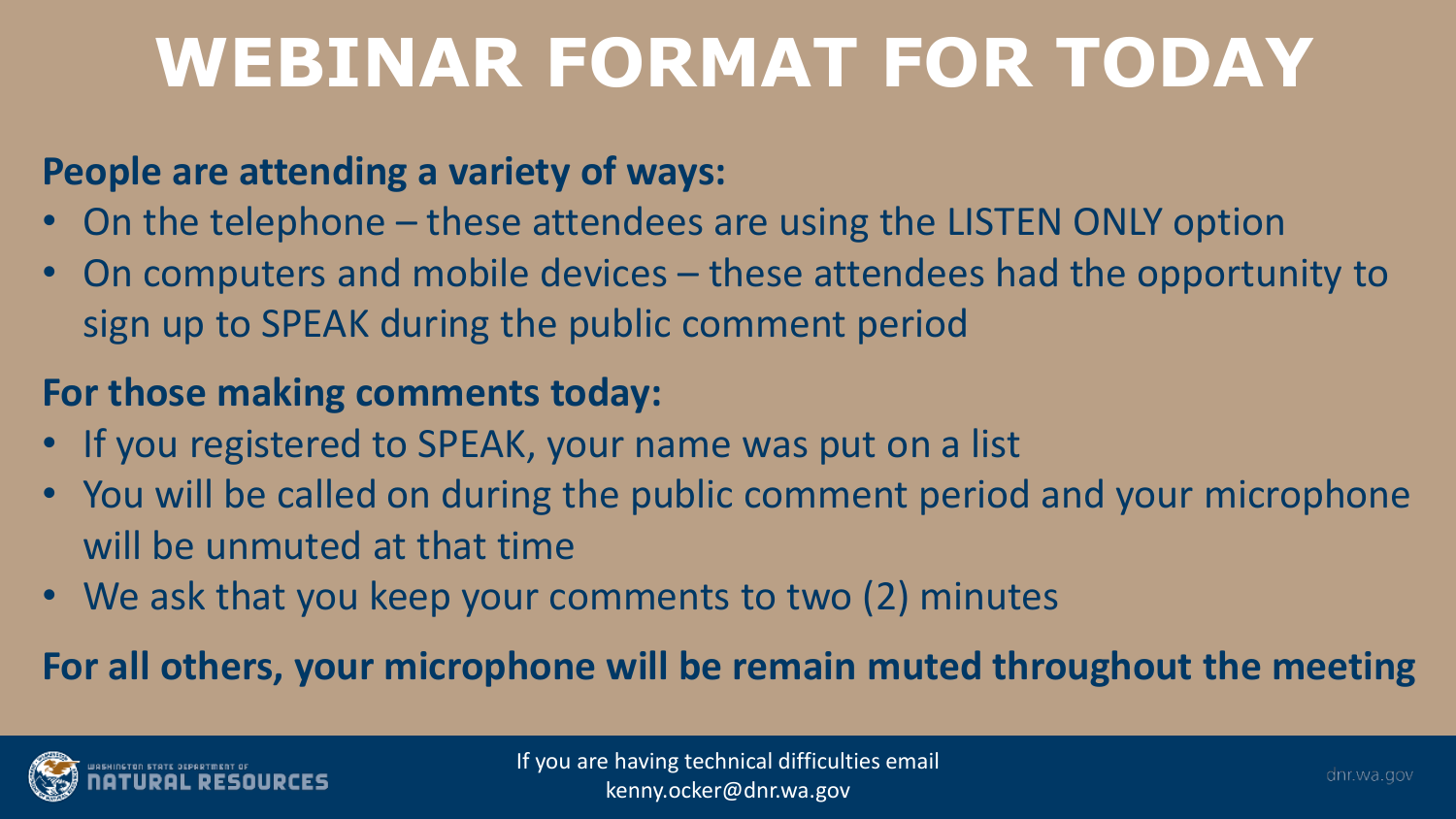## **WEBINAR FORMAT FOR TODAY**

#### **People are attending a variety of ways:**

- On the telephone these attendees are using the LISTEN ONLY option
- On computers and mobile devices these attendees had the opportunity to sign up to SPEAK during the public comment period

### **For those making comments today:**

- If you registered to SPEAK, your name was put on a list
- You will be called on during the public comment period and your microphone will be unmuted at that time
- We ask that you keep your comments to two (2) minutes

#### **For all others, your microphone will be remain muted throughout the meeting**

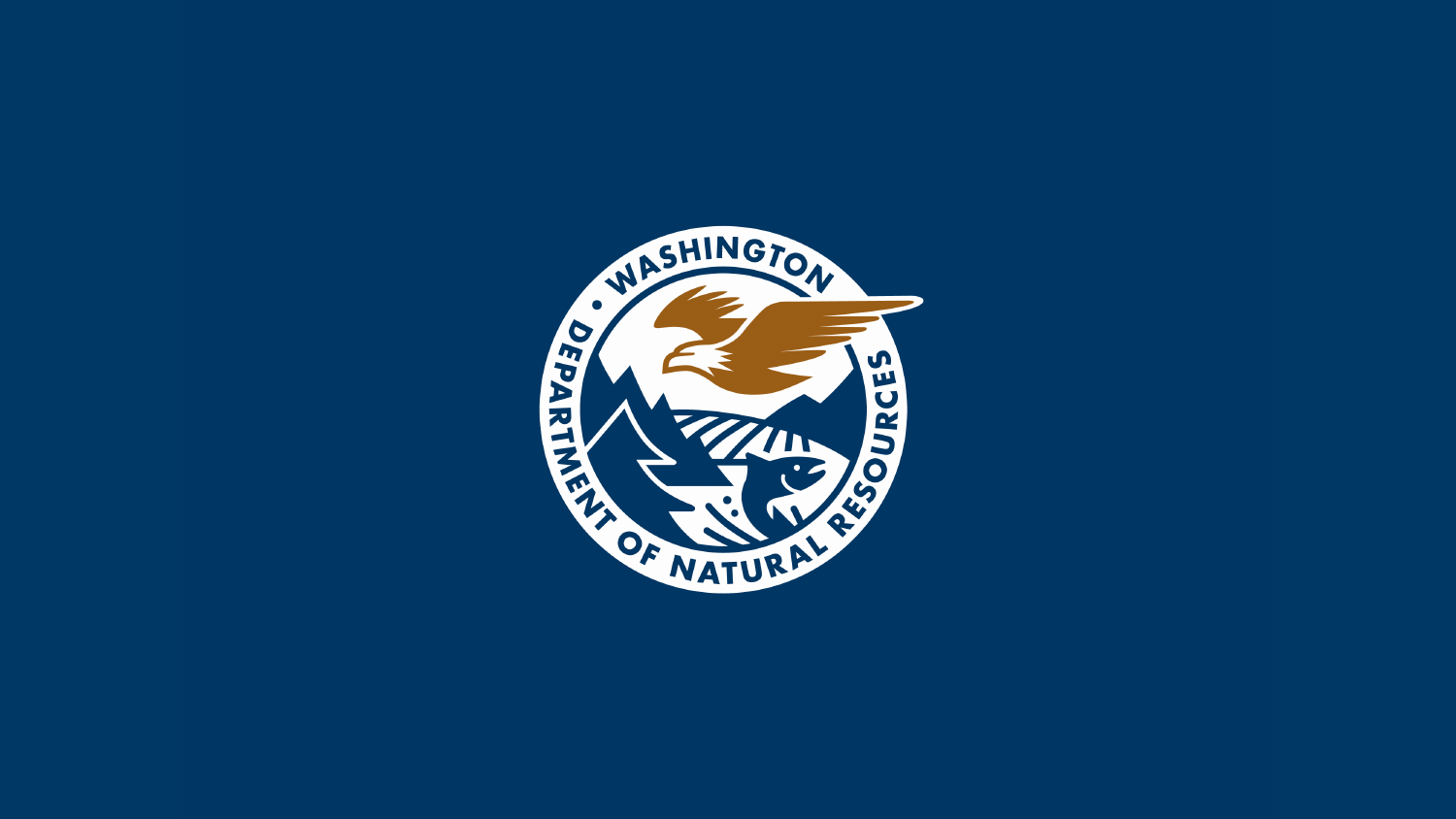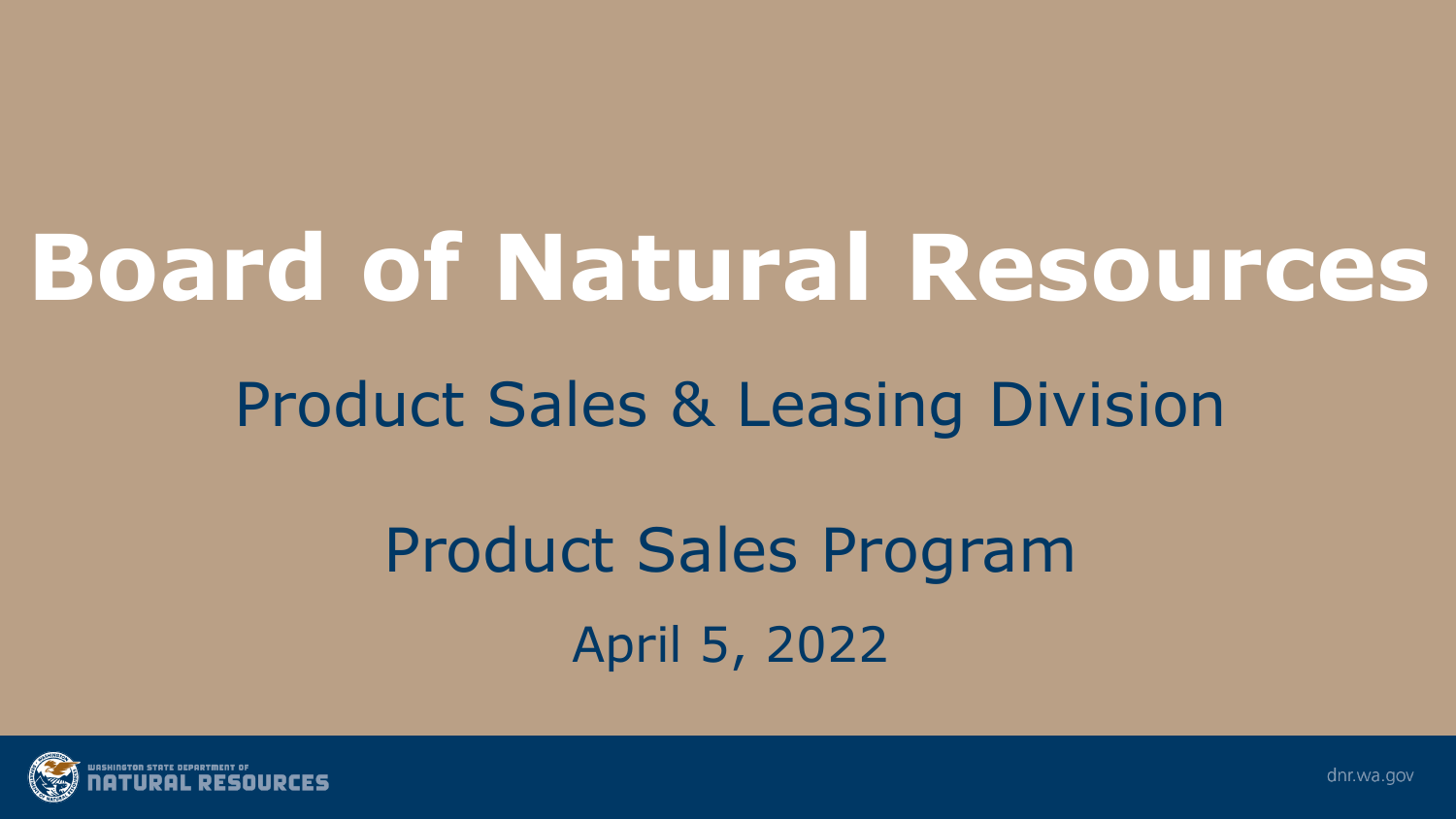# **Board of Natural Resources**

## Product Sales & Leasing Division

## Product Sales Program April 5, 2022



dnr.wa.gov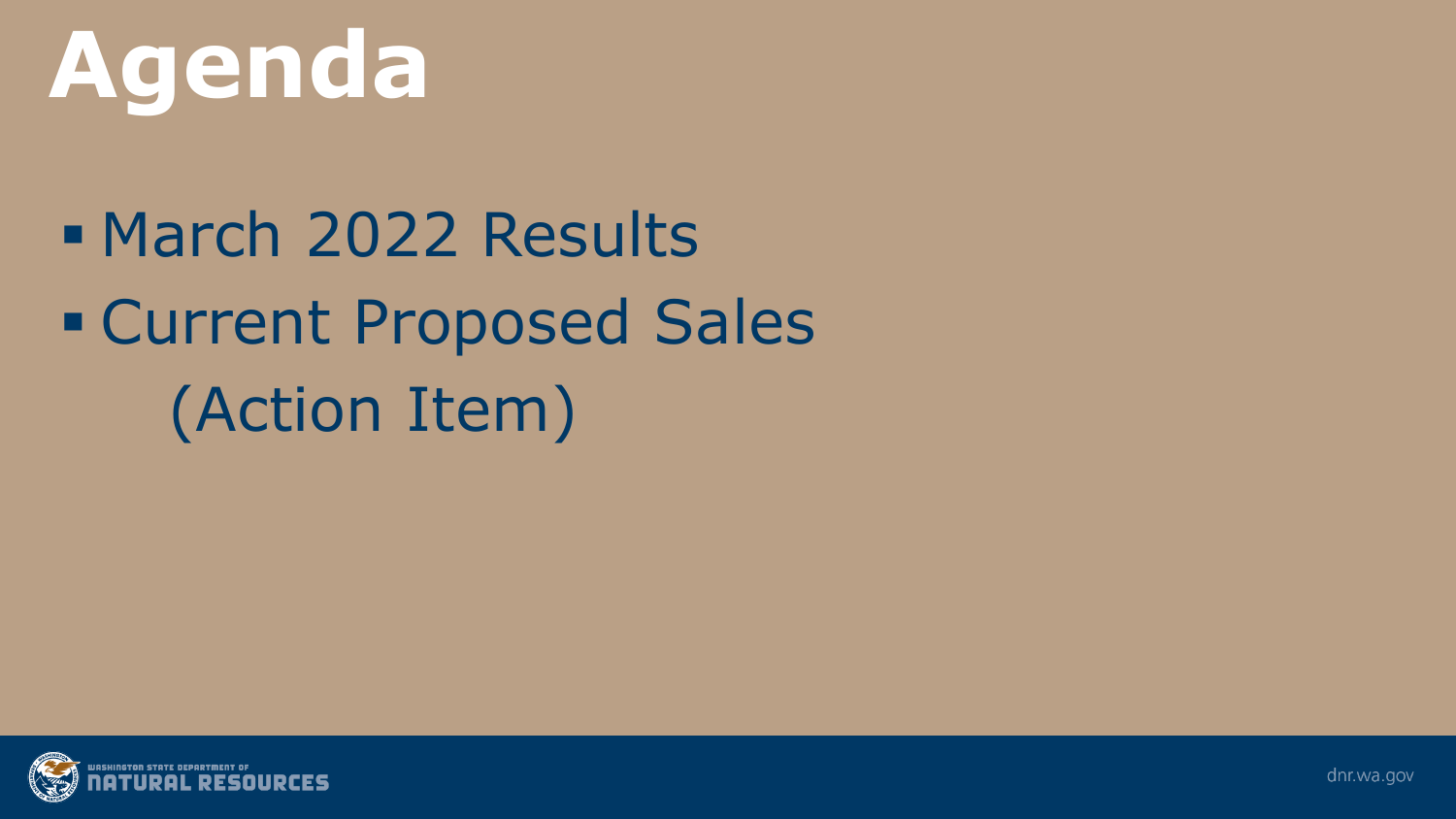

 March 2022 Results Current Proposed Sales (Action Item)

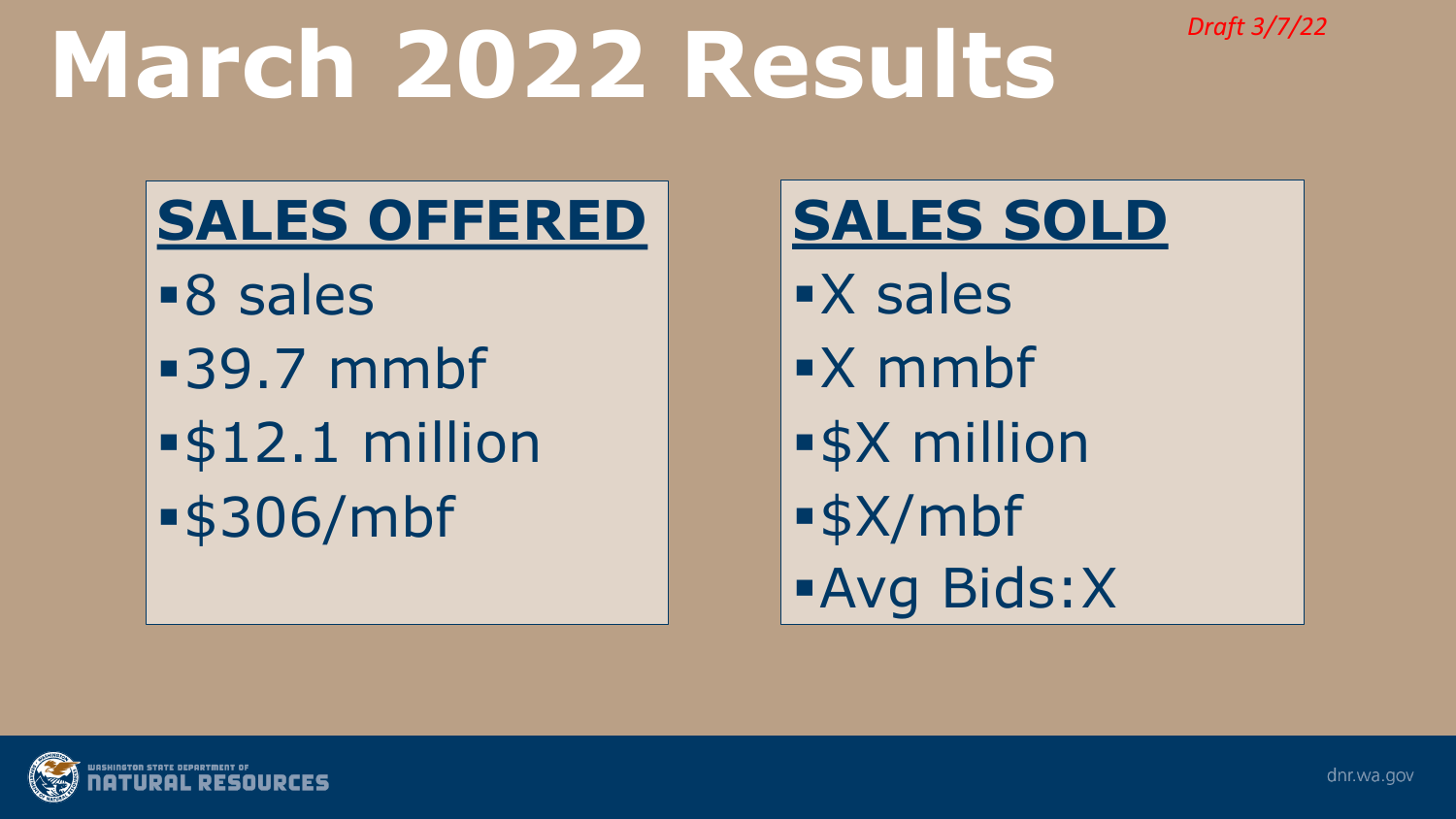*Draft 3/7/22*

# **March 2022 Results**

## **SALES OFFERED**

8 sales 39.7 mmbf \$12.1 million \$306/mbf

### **SALES SOLD**

**x** sales X mmbf \$X million \$X/mbf Avg Bids:X

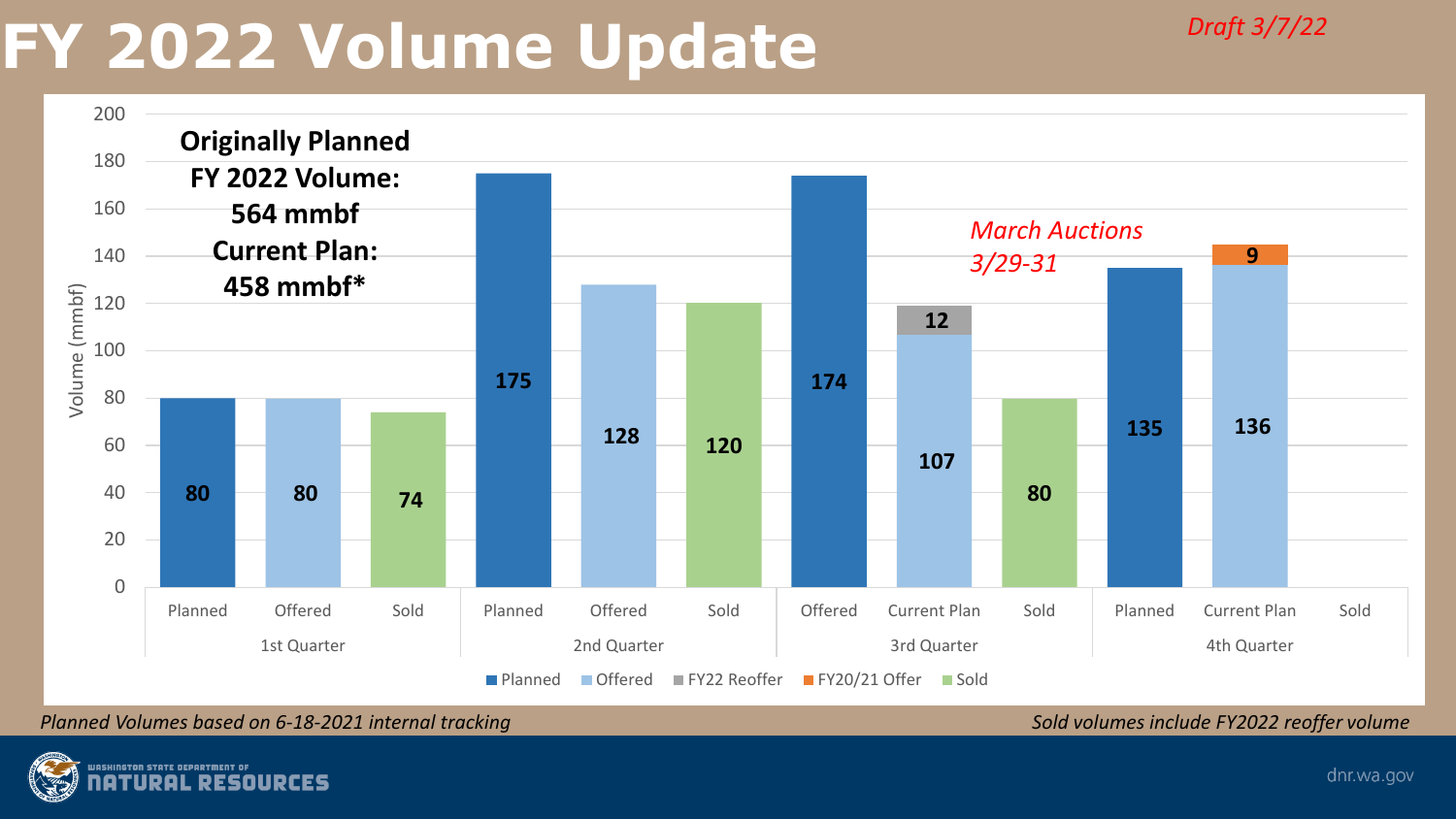## **FY 2022 Volume Update**



*Planned Volumes based on 6-18-2021 internal tracking Sold volumes include FY2022 reoffer volume* 

*Draft 3/7/22*

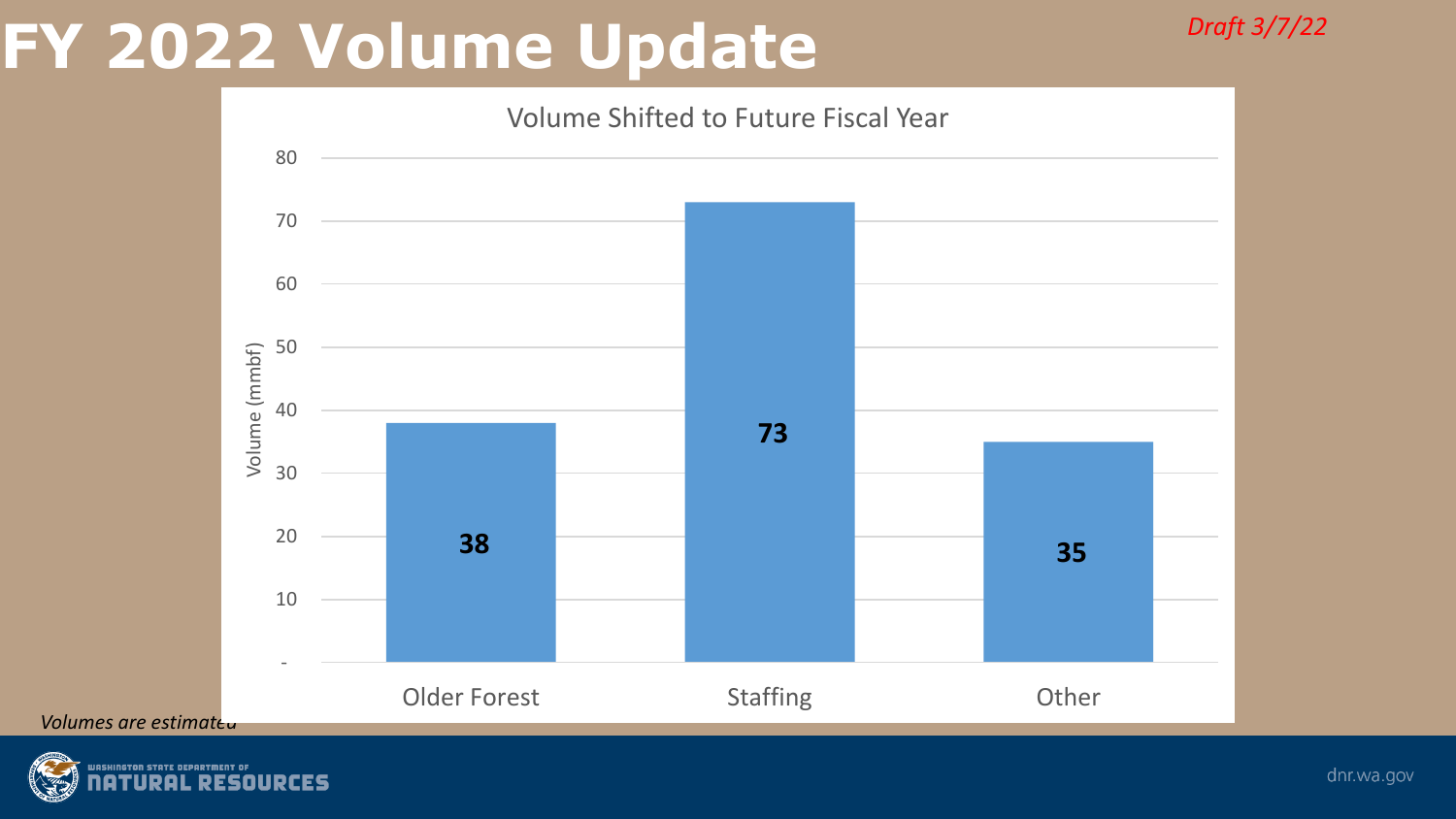## **FY 2022 Volume Update**

*Draft 3/7/22*



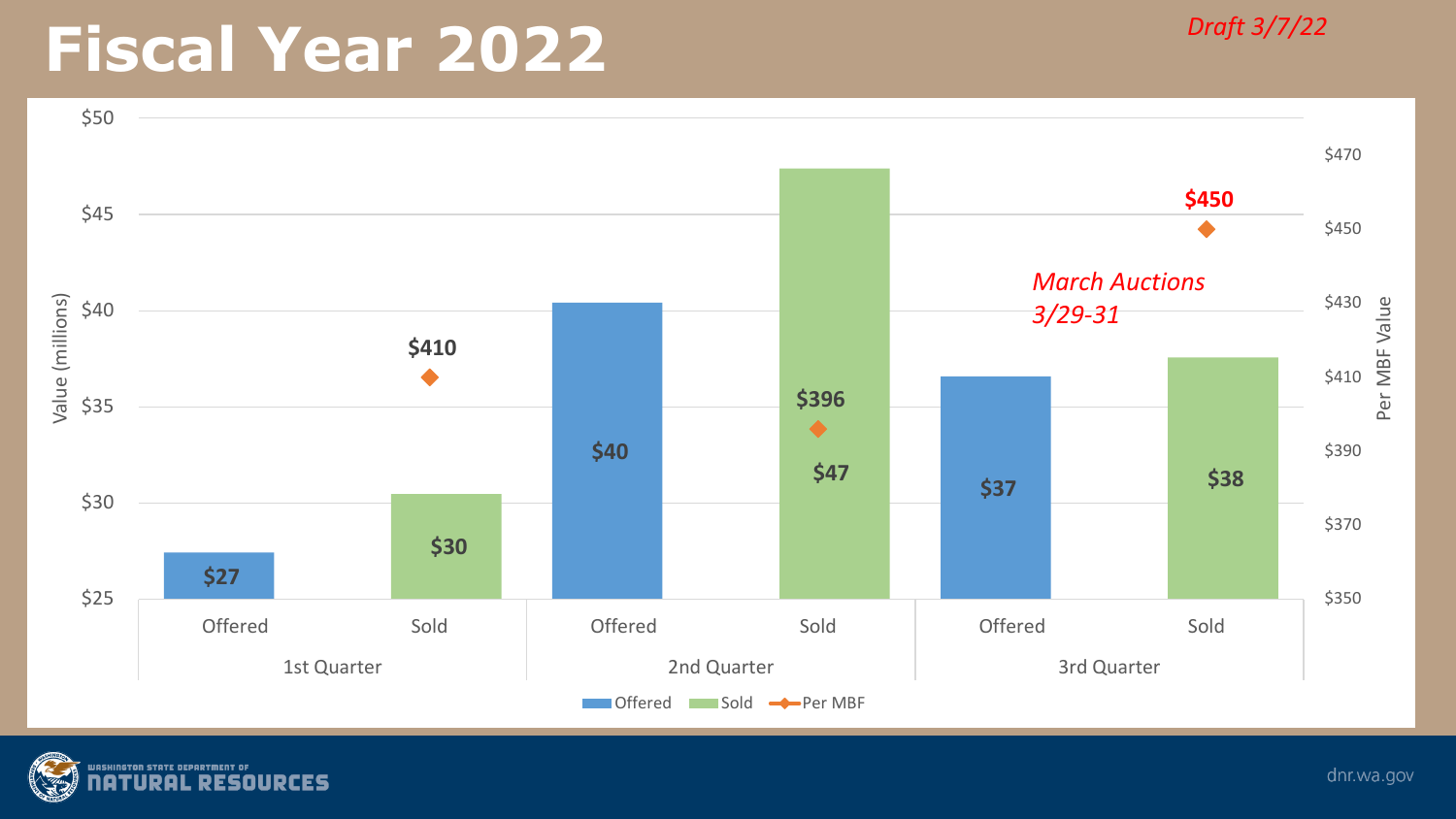## **Fiscal Year 2022** *Draft 3/7/22*



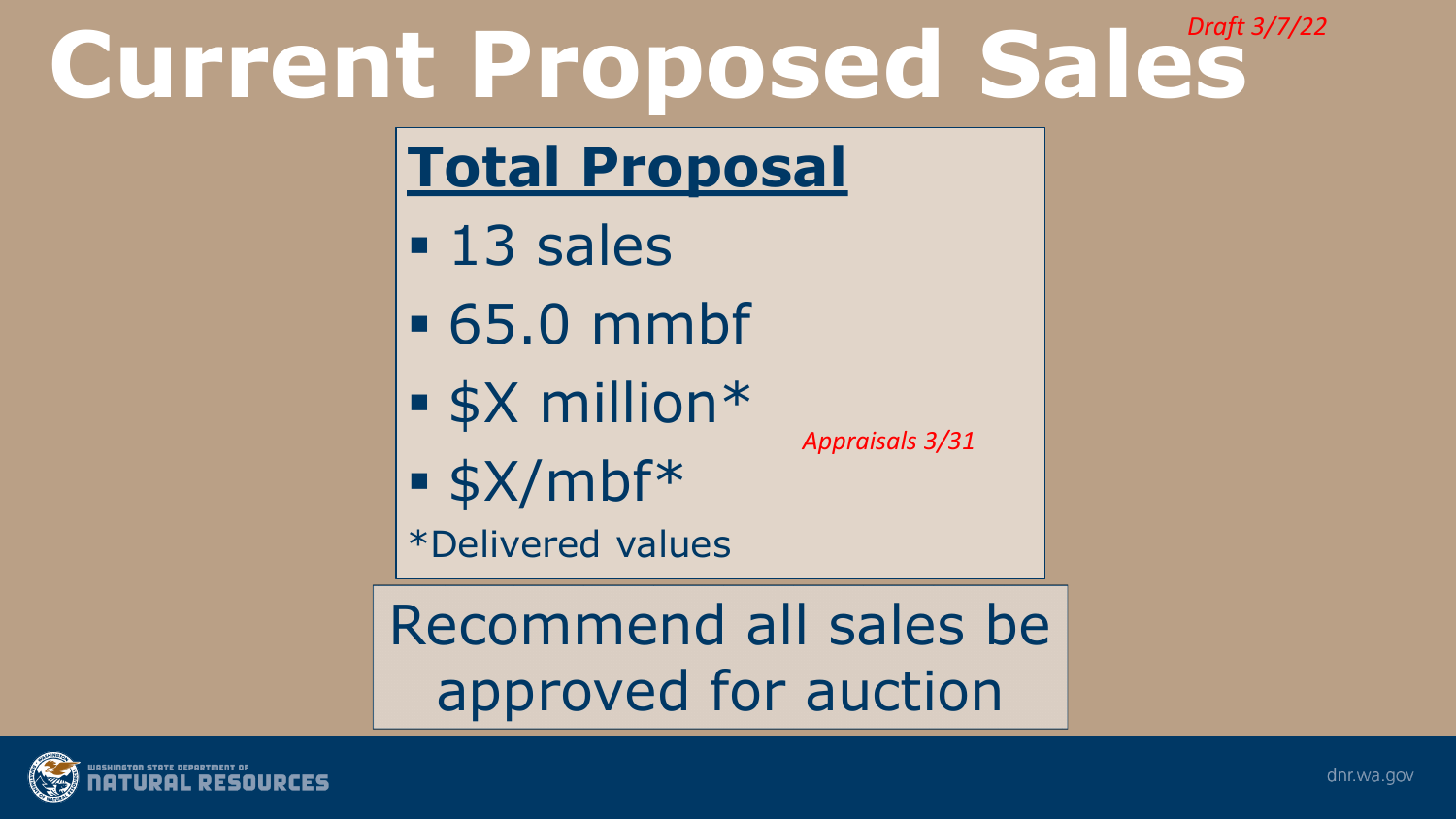### **Current Proposed Sales** *Draft 3/7/22*

## **Total Proposal**

- **13 sales**
- 65.0 mmbf
- $\overline{\bullet}$  \$X million\*

*Appraisals 3/31*

 $\sqrt{3}$  \$X/mbf\*

\*Delivered values

Recommend all sales be approved for auction